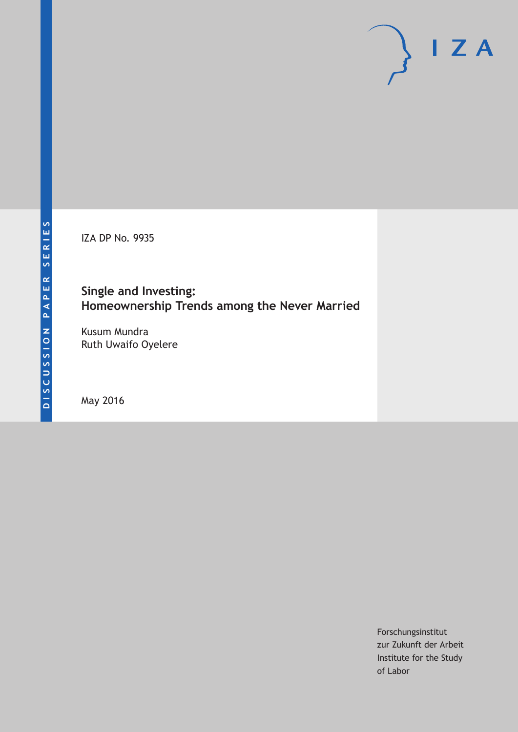IZA DP No. 9935

# **Single and Investing: Homeownership Trends among the Never Married**

Kusum Mundra Ruth Uwaifo Oyelere

May 2016

Forschungsinstitut zur Zukunft der Arbeit Institute for the Study of Labor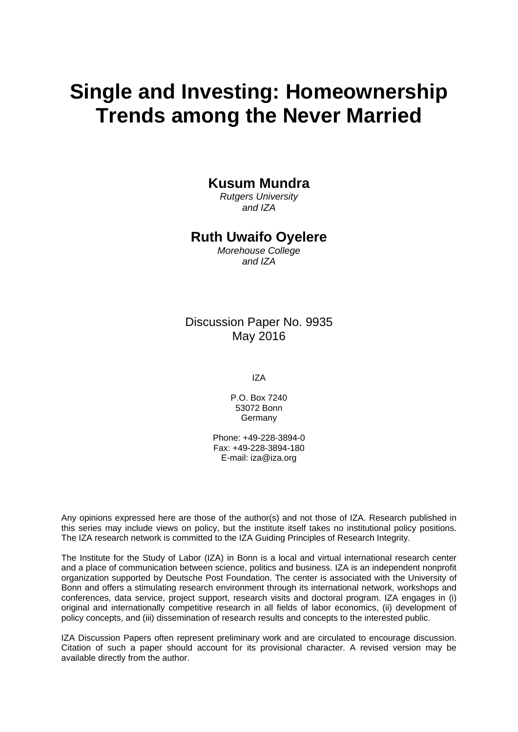# **Single and Investing: Homeownership Trends among the Never Married**

#### **Kusum Mundra**

*Rutgers University and IZA* 

#### **Ruth Uwaifo Oyelere**

*Morehouse College and IZA* 

#### Discussion Paper No. 9935 May 2016

IZA

P.O. Box 7240 53072 Bonn **Germany** 

Phone: +49-228-3894-0 Fax: +49-228-3894-180 E-mail: iza@iza.org

Any opinions expressed here are those of the author(s) and not those of IZA. Research published in this series may include views on policy, but the institute itself takes no institutional policy positions. The IZA research network is committed to the IZA Guiding Principles of Research Integrity.

The Institute for the Study of Labor (IZA) in Bonn is a local and virtual international research center and a place of communication between science, politics and business. IZA is an independent nonprofit organization supported by Deutsche Post Foundation. The center is associated with the University of Bonn and offers a stimulating research environment through its international network, workshops and conferences, data service, project support, research visits and doctoral program. IZA engages in (i) original and internationally competitive research in all fields of labor economics, (ii) development of policy concepts, and (iii) dissemination of research results and concepts to the interested public.

IZA Discussion Papers often represent preliminary work and are circulated to encourage discussion. Citation of such a paper should account for its provisional character. A revised version may be available directly from the author.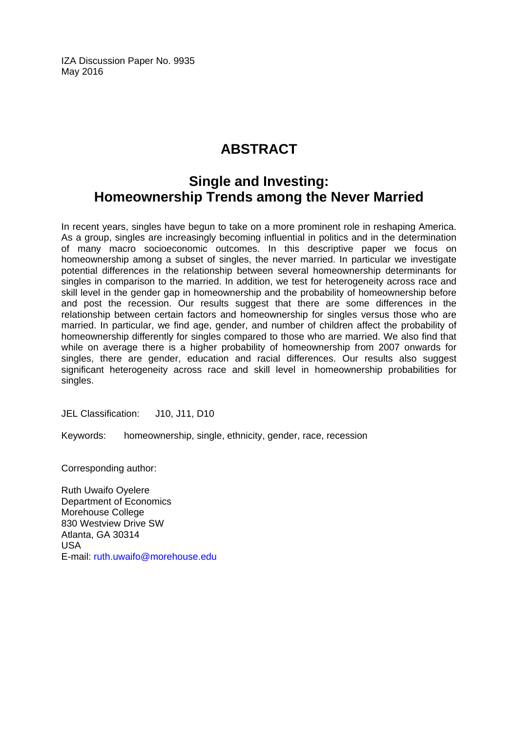IZA Discussion Paper No. 9935 May 2016

# **ABSTRACT**

# **Single and Investing: Homeownership Trends among the Never Married**

In recent years, singles have begun to take on a more prominent role in reshaping America. As a group, singles are increasingly becoming influential in politics and in the determination of many macro socioeconomic outcomes. In this descriptive paper we focus on homeownership among a subset of singles, the never married. In particular we investigate potential differences in the relationship between several homeownership determinants for singles in comparison to the married. In addition, we test for heterogeneity across race and skill level in the gender gap in homeownership and the probability of homeownership before and post the recession. Our results suggest that there are some differences in the relationship between certain factors and homeownership for singles versus those who are married. In particular, we find age, gender, and number of children affect the probability of homeownership differently for singles compared to those who are married. We also find that while on average there is a higher probability of homeownership from 2007 onwards for singles, there are gender, education and racial differences. Our results also suggest significant heterogeneity across race and skill level in homeownership probabilities for singles.

JEL Classification: J10, J11, D10

Keywords: homeownership, single, ethnicity, gender, race, recession

Corresponding author:

Ruth Uwaifo Oyelere Department of Economics Morehouse College 830 Westview Drive SW Atlanta, GA 30314 USA E-mail: ruth.uwaifo@morehouse.edu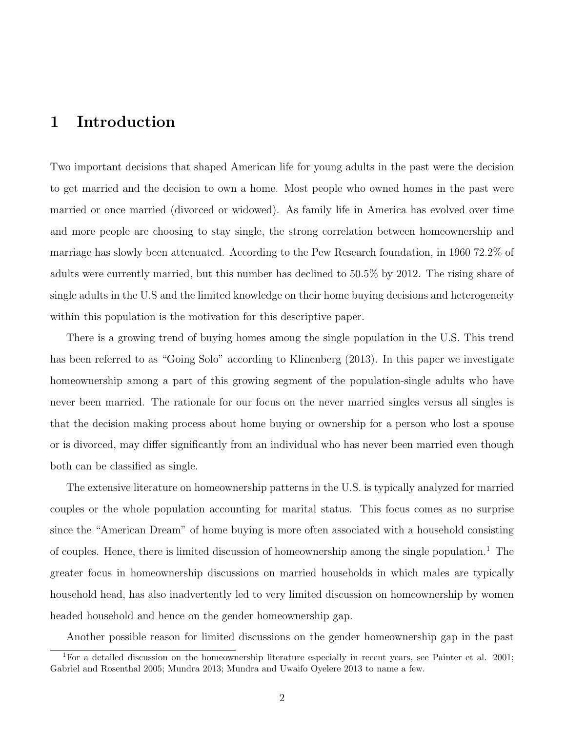## **1 Introduction**

Two important decisions that shaped American life for young adults in the past were the decision to get married and the decision to own a home. Most people who owned homes in the past were married or once married (divorced or widowed). As family life in America has evolved over time and more people are choosing to stay single, the strong correlation between homeownership and marriage has slowly been attenuated. According to the Pew Research foundation, in 1960 72.2% of adults were currently married, but this number has declined to 50.5% by 2012. The rising share of single adults in the U.S and the limited knowledge on their home buying decisions and heterogeneity within this population is the motivation for this descriptive paper.

There is a growing trend of buying homes among the single population in the U.S. This trend has been referred to as "Going Solo" according to Klinenberg (2013). In this paper we investigate homeownership among a part of this growing segment of the population-single adults who have never been married. The rationale for our focus on the never married singles versus all singles is that the decision making process about home buying or ownership for a person who lost a spouse or is divorced, may differ significantly from an individual who has never been married even though both can be classified as single.

The extensive literature on homeownership patterns in the U.S. is typically analyzed for married couples or the whole population accounting for marital status. This focus comes as no surprise since the "American Dream" of home buying is more often associated with a household consisting of couples. Hence, there is limited discussion of homeownership among the single population.<sup>1</sup> The greater focus in homeownership discussions on married households in which males are typically household head, has also inadvertently led to very limited discussion on homeownership by women headed household and hence on the gender homeownership gap.

Another possible reason for limited discussions on the gender homeownership gap in the past

<sup>1</sup>For a detailed discussion on the homeownership literature especially in recent years, see Painter et al. 2001; Gabriel and Rosenthal 2005; Mundra 2013; Mundra and Uwaifo Oyelere 2013 to name a few.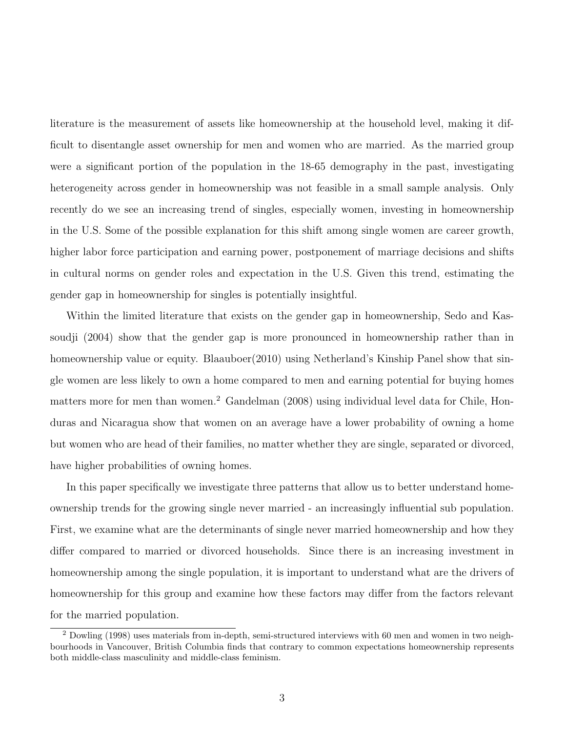literature is the measurement of assets like homeownership at the household level, making it difficult to disentangle asset ownership for men and women who are married. As the married group were a significant portion of the population in the 18-65 demography in the past, investigating heterogeneity across gender in homeownership was not feasible in a small sample analysis. Only recently do we see an increasing trend of singles, especially women, investing in homeownership in the U.S. Some of the possible explanation for this shift among single women are career growth, higher labor force participation and earning power, postponement of marriage decisions and shifts in cultural norms on gender roles and expectation in the U.S. Given this trend, estimating the gender gap in homeownership for singles is potentially insightful.

Within the limited literature that exists on the gender gap in homeownership, Sedo and Kassoudji (2004) show that the gender gap is more pronounced in homeownership rather than in homeownership value or equity. Blaauboer(2010) using Netherland's Kinship Panel show that single women are less likely to own a home compared to men and earning potential for buying homes matters more for men than women.<sup>2</sup> Gandelman (2008) using individual level data for Chile, Honduras and Nicaragua show that women on an average have a lower probability of owning a home but women who are head of their families, no matter whether they are single, separated or divorced, have higher probabilities of owning homes.

In this paper specifically we investigate three patterns that allow us to better understand homeownership trends for the growing single never married - an increasingly influential sub population. First, we examine what are the determinants of single never married homeownership and how they differ compared to married or divorced households. Since there is an increasing investment in homeownership among the single population, it is important to understand what are the drivers of homeownership for this group and examine how these factors may differ from the factors relevant for the married population.

<sup>2</sup> Dowling (1998) uses materials from in-depth, semi-structured interviews with 60 men and women in two neighbourhoods in Vancouver, British Columbia finds that contrary to common expectations homeownership represents both middle-class masculinity and middle-class feminism.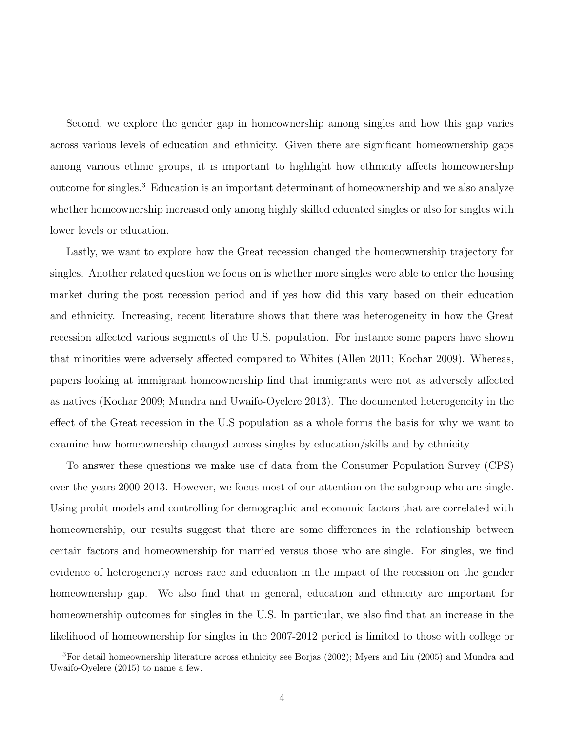Second, we explore the gender gap in homeownership among singles and how this gap varies across various levels of education and ethnicity. Given there are significant homeownership gaps among various ethnic groups, it is important to highlight how ethnicity affects homeownership outcome for singles.<sup>3</sup> Education is an important determinant of homeownership and we also analyze whether homeownership increased only among highly skilled educated singles or also for singles with lower levels or education.

Lastly, we want to explore how the Great recession changed the homeownership trajectory for singles. Another related question we focus on is whether more singles were able to enter the housing market during the post recession period and if yes how did this vary based on their education and ethnicity. Increasing, recent literature shows that there was heterogeneity in how the Great recession affected various segments of the U.S. population. For instance some papers have shown that minorities were adversely affected compared to Whites (Allen 2011; Kochar 2009). Whereas, papers looking at immigrant homeownership find that immigrants were not as adversely affected as natives (Kochar 2009; Mundra and Uwaifo-Oyelere 2013). The documented heterogeneity in the effect of the Great recession in the U.S population as a whole forms the basis for why we want to examine how homeownership changed across singles by education/skills and by ethnicity.

To answer these questions we make use of data from the Consumer Population Survey (CPS) over the years 2000-2013. However, we focus most of our attention on the subgroup who are single. Using probit models and controlling for demographic and economic factors that are correlated with homeownership, our results suggest that there are some differences in the relationship between certain factors and homeownership for married versus those who are single. For singles, we find evidence of heterogeneity across race and education in the impact of the recession on the gender homeownership gap. We also find that in general, education and ethnicity are important for homeownership outcomes for singles in the U.S. In particular, we also find that an increase in the likelihood of homeownership for singles in the 2007-2012 period is limited to those with college or

<sup>3</sup>For detail homeownership literature across ethnicity see Borjas (2002); Myers and Liu (2005) and Mundra and Uwaifo-Oyelere (2015) to name a few.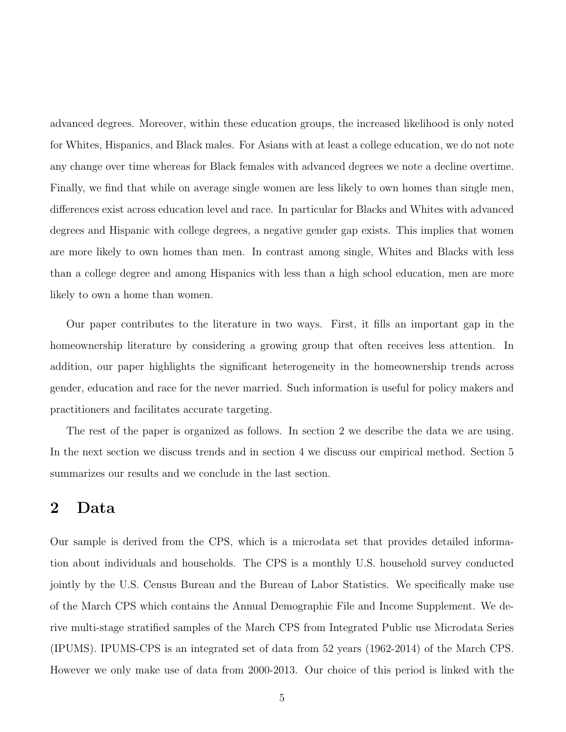advanced degrees. Moreover, within these education groups, the increased likelihood is only noted for Whites, Hispanics, and Black males. For Asians with at least a college education, we do not note any change over time whereas for Black females with advanced degrees we note a decline overtime. Finally, we find that while on average single women are less likely to own homes than single men, differences exist across education level and race. In particular for Blacks and Whites with advanced degrees and Hispanic with college degrees, a negative gender gap exists. This implies that women are more likely to own homes than men. In contrast among single, Whites and Blacks with less than a college degree and among Hispanics with less than a high school education, men are more likely to own a home than women.

Our paper contributes to the literature in two ways. First, it fills an important gap in the homeownership literature by considering a growing group that often receives less attention. In addition, our paper highlights the significant heterogeneity in the homeownership trends across gender, education and race for the never married. Such information is useful for policy makers and practitioners and facilitates accurate targeting.

The rest of the paper is organized as follows. In section 2 we describe the data we are using. In the next section we discuss trends and in section 4 we discuss our empirical method. Section 5 summarizes our results and we conclude in the last section.

#### **2 Data**

Our sample is derived from the CPS, which is a microdata set that provides detailed information about individuals and households. The CPS is a monthly U.S. household survey conducted jointly by the U.S. Census Bureau and the Bureau of Labor Statistics. We specifically make use of the March CPS which contains the Annual Demographic File and Income Supplement. We derive multi-stage stratified samples of the March CPS from Integrated Public use Microdata Series (IPUMS). IPUMS-CPS is an integrated set of data from 52 years (1962-2014) of the March CPS. However we only make use of data from 2000-2013. Our choice of this period is linked with the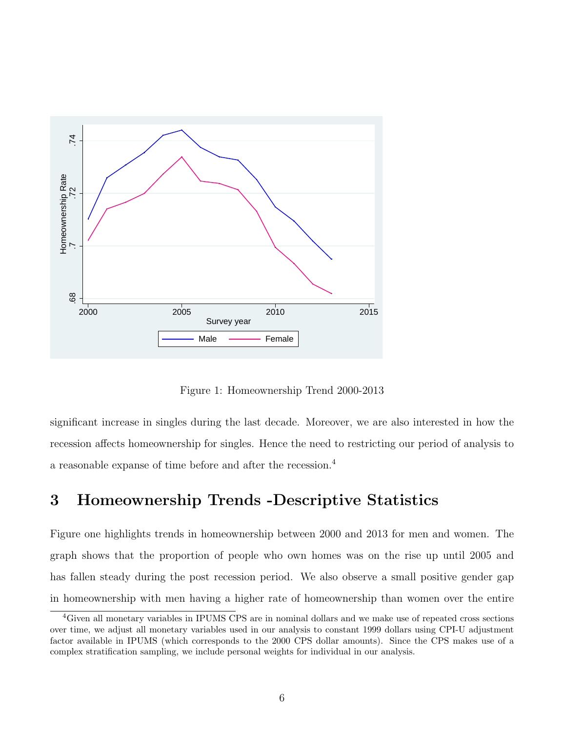

Figure 1: Homeownership Trend 2000-2013

significant increase in singles during the last decade. Moreover, we are also interested in how the recession affects homeownership for singles. Hence the need to restricting our period of analysis to a reasonable expanse of time before and after the recession.<sup>4</sup>

# **3 Homeownership Trends -Descriptive Statistics**

Figure one highlights trends in homeownership between 2000 and 2013 for men and women. The graph shows that the proportion of people who own homes was on the rise up until 2005 and has fallen steady during the post recession period. We also observe a small positive gender gap in homeownership with men having a higher rate of homeownership than women over the entire

<sup>4</sup>Given all monetary variables in IPUMS CPS are in nominal dollars and we make use of repeated cross sections over time, we adjust all monetary variables used in our analysis to constant 1999 dollars using CPI-U adjustment factor available in IPUMS (which corresponds to the 2000 CPS dollar amounts). Since the CPS makes use of a complex stratification sampling, we include personal weights for individual in our analysis.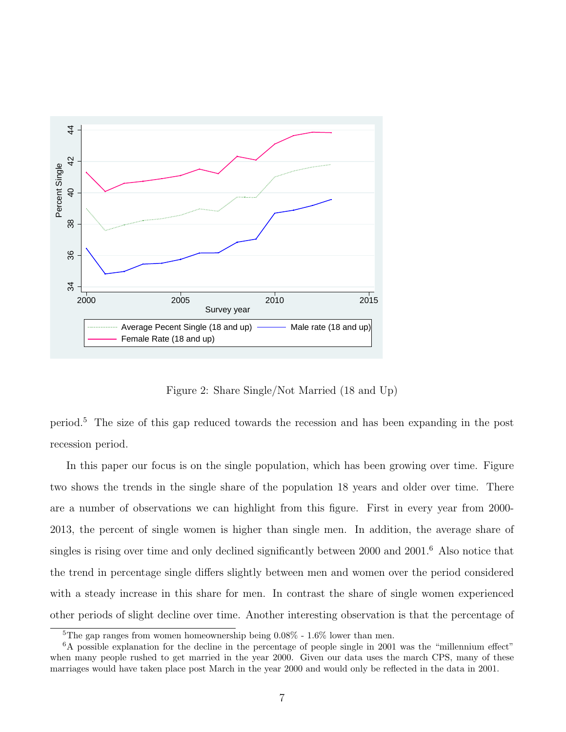

Figure 2: Share Single/Not Married (18 and Up)

period.<sup>5</sup> The size of this gap reduced towards the recession and has been expanding in the post recession period.

In this paper our focus is on the single population, which has been growing over time. Figure two shows the trends in the single share of the population 18 years and older over time. There are a number of observations we can highlight from this figure. First in every year from 2000- 2013, the percent of single women is higher than single men. In addition, the average share of singles is rising over time and only declined significantly between 2000 and 2001.<sup>6</sup> Also notice that the trend in percentage single differs slightly between men and women over the period considered with a steady increase in this share for men. In contrast the share of single women experienced other periods of slight decline over time. Another interesting observation is that the percentage of

<sup>&</sup>lt;sup>5</sup>The gap ranges from women homeownership being  $0.08\%$  - 1.6% lower than men.

 $6A$  possible explanation for the decline in the percentage of people single in 2001 was the "millennium effect" when many people rushed to get married in the year 2000. Given our data uses the march CPS, many of these marriages would have taken place post March in the year 2000 and would only be reflected in the data in 2001.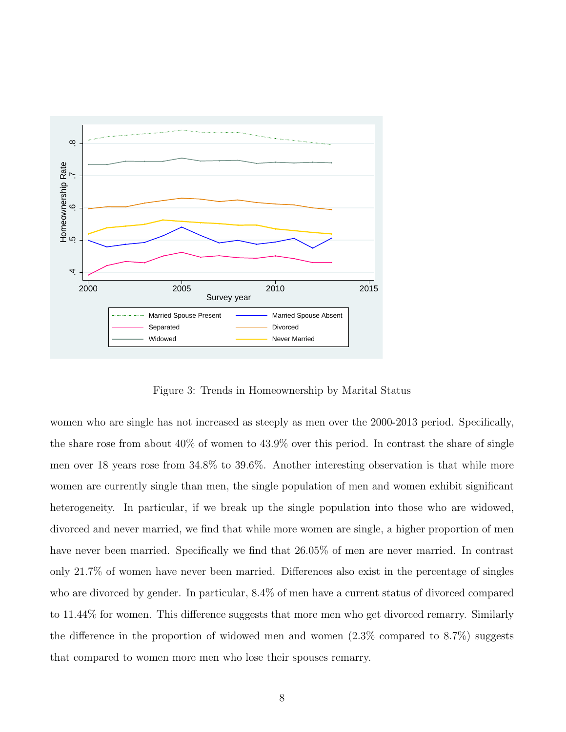

Figure 3: Trends in Homeownership by Marital Status

women who are single has not increased as steeply as men over the 2000-2013 period. Specifically, the share rose from about  $40\%$  of women to  $43.9\%$  over this period. In contrast the share of single men over 18 years rose from 34.8% to 39.6%. Another interesting observation is that while more women are currently single than men, the single population of men and women exhibit significant heterogeneity. In particular, if we break up the single population into those who are widowed, divorced and never married, we find that while more women are single, a higher proportion of men have never been married. Specifically we find that 26.05% of men are never married. In contrast only 21.7% of women have never been married. Differences also exist in the percentage of singles who are divorced by gender. In particular, 8.4% of men have a current status of divorced compared to 11.44% for women. This difference suggests that more men who get divorced remarry. Similarly the difference in the proportion of widowed men and women  $(2.3\%$  compared to  $8.7\%$ ) suggests that compared to women more men who lose their spouses remarry.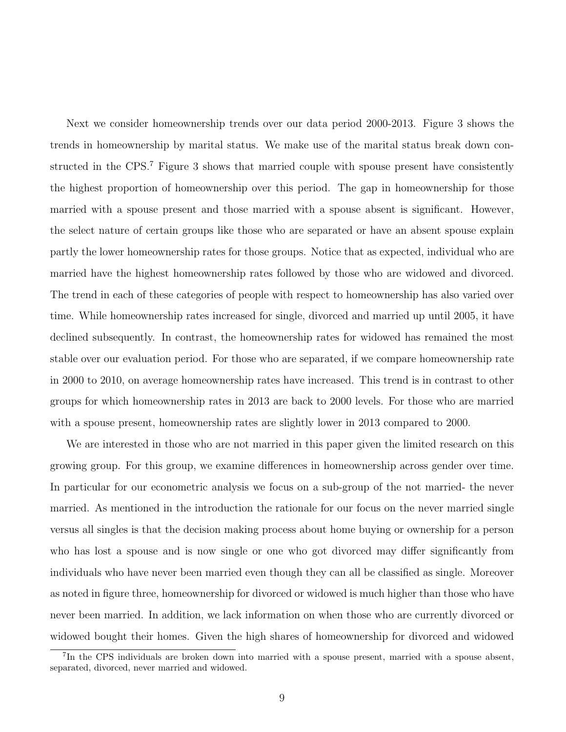Next we consider homeownership trends over our data period 2000-2013. Figure 3 shows the trends in homeownership by marital status. We make use of the marital status break down constructed in the CPS.<sup>7</sup> Figure 3 shows that married couple with spouse present have consistently the highest proportion of homeownership over this period. The gap in homeownership for those married with a spouse present and those married with a spouse absent is significant. However, the select nature of certain groups like those who are separated or have an absent spouse explain partly the lower homeownership rates for those groups. Notice that as expected, individual who are married have the highest homeownership rates followed by those who are widowed and divorced. The trend in each of these categories of people with respect to homeownership has also varied over time. While homeownership rates increased for single, divorced and married up until 2005, it have declined subsequently. In contrast, the homeownership rates for widowed has remained the most stable over our evaluation period. For those who are separated, if we compare homeownership rate in 2000 to 2010, on average homeownership rates have increased. This trend is in contrast to other groups for which homeownership rates in 2013 are back to 2000 levels. For those who are married with a spouse present, homeownership rates are slightly lower in 2013 compared to 2000.

We are interested in those who are not married in this paper given the limited research on this growing group. For this group, we examine differences in homeownership across gender over time. In particular for our econometric analysis we focus on a sub-group of the not married- the never married. As mentioned in the introduction the rationale for our focus on the never married single versus all singles is that the decision making process about home buying or ownership for a person who has lost a spouse and is now single or one who got divorced may differ significantly from individuals who have never been married even though they can all be classified as single. Moreover as noted in figure three, homeownership for divorced or widowed is much higher than those who have never been married. In addition, we lack information on when those who are currently divorced or widowed bought their homes. Given the high shares of homeownership for divorced and widowed

<sup>&</sup>lt;sup>7</sup>In the CPS individuals are broken down into married with a spouse present, married with a spouse absent, separated, divorced, never married and widowed.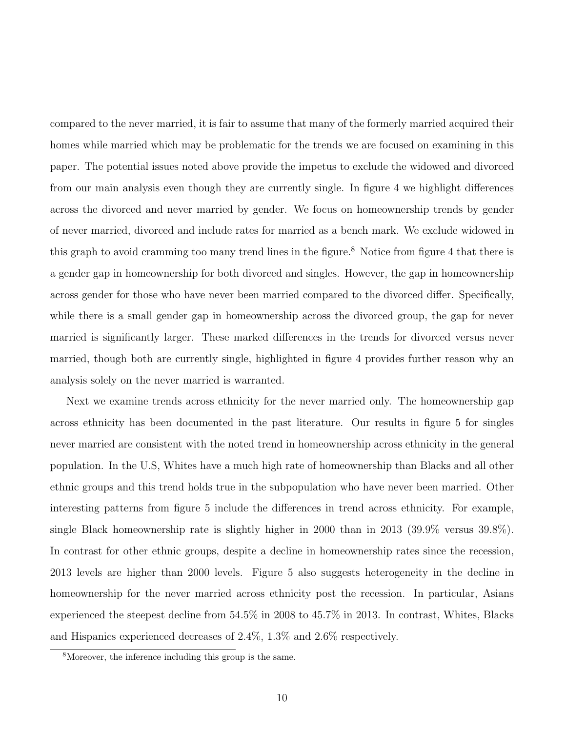compared to the never married, it is fair to assume that many of the formerly married acquired their homes while married which may be problematic for the trends we are focused on examining in this paper. The potential issues noted above provide the impetus to exclude the widowed and divorced from our main analysis even though they are currently single. In figure 4 we highlight differences across the divorced and never married by gender. We focus on homeownership trends by gender of never married, divorced and include rates for married as a bench mark. We exclude widowed in this graph to avoid cramming too many trend lines in the figure.<sup>8</sup> Notice from figure 4 that there is a gender gap in homeownership for both divorced and singles. However, the gap in homeownership across gender for those who have never been married compared to the divorced differ. Specifically, while there is a small gender gap in homeownership across the divorced group, the gap for never married is significantly larger. These marked differences in the trends for divorced versus never married, though both are currently single, highlighted in figure 4 provides further reason why an analysis solely on the never married is warranted.

Next we examine trends across ethnicity for the never married only. The homeownership gap across ethnicity has been documented in the past literature. Our results in figure 5 for singles never married are consistent with the noted trend in homeownership across ethnicity in the general population. In the U.S, Whites have a much high rate of homeownership than Blacks and all other ethnic groups and this trend holds true in the subpopulation who have never been married. Other interesting patterns from figure 5 include the differences in trend across ethnicity. For example, single Black homeownership rate is slightly higher in 2000 than in 2013 (39.9% versus 39.8%). In contrast for other ethnic groups, despite a decline in homeownership rates since the recession, 2013 levels are higher than 2000 levels. Figure 5 also suggests heterogeneity in the decline in homeownership for the never married across ethnicity post the recession. In particular, Asians experienced the steepest decline from 54.5% in 2008 to 45.7% in 2013. In contrast, Whites, Blacks and Hispanics experienced decreases of 2.4%, 1.3% and 2.6% respectively.

<sup>8</sup>Moreover, the inference including this group is the same.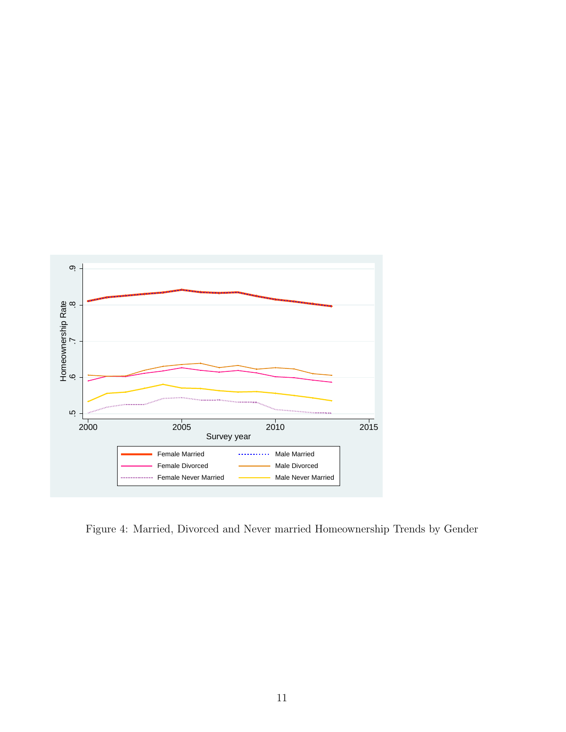

Figure 4: Married, Divorced and Never married Homeownership Trends by Gender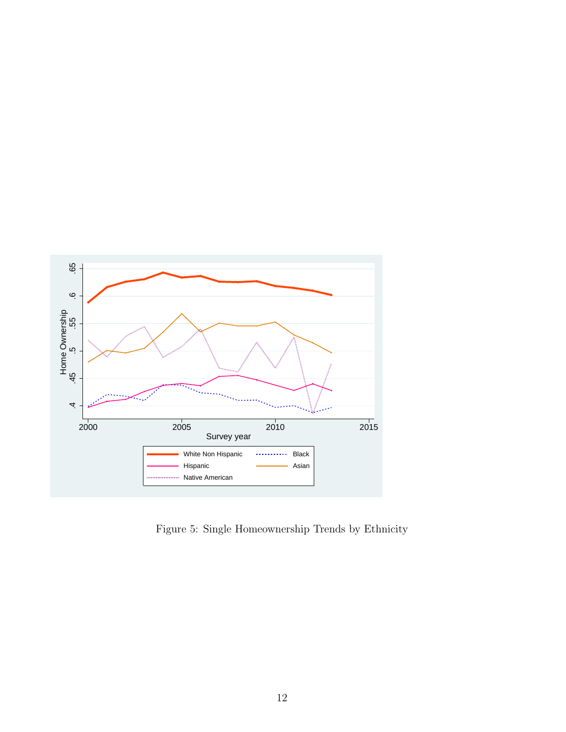

Figure 5: Single Homeownership Trends by Ethnicity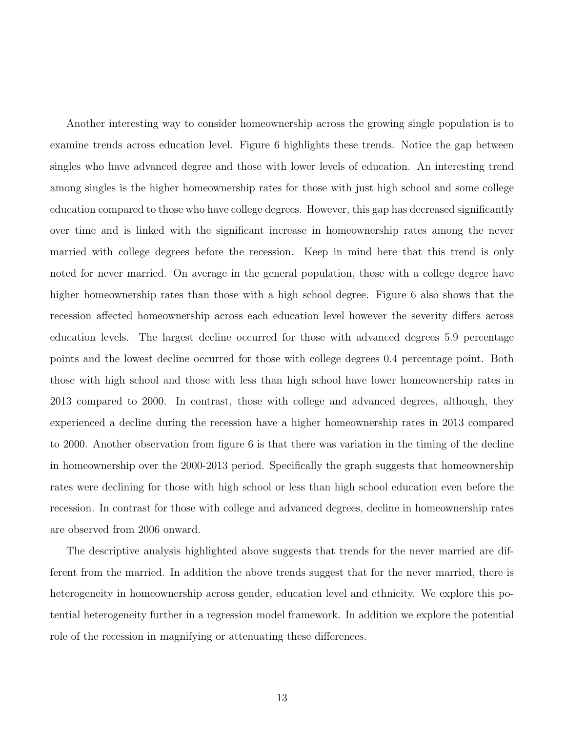Another interesting way to consider homeownership across the growing single population is to examine trends across education level. Figure 6 highlights these trends. Notice the gap between singles who have advanced degree and those with lower levels of education. An interesting trend among singles is the higher homeownership rates for those with just high school and some college education compared to those who have college degrees. However, this gap has decreased significantly over time and is linked with the significant increase in homeownership rates among the never married with college degrees before the recession. Keep in mind here that this trend is only noted for never married. On average in the general population, those with a college degree have higher homeownership rates than those with a high school degree. Figure 6 also shows that the recession affected homeownership across each education level however the severity differs across education levels. The largest decline occurred for those with advanced degrees 5.9 percentage points and the lowest decline occurred for those with college degrees 0.4 percentage point. Both those with high school and those with less than high school have lower homeownership rates in 2013 compared to 2000. In contrast, those with college and advanced degrees, although, they experienced a decline during the recession have a higher homeownership rates in 2013 compared to 2000. Another observation from figure 6 is that there was variation in the timing of the decline in homeownership over the 2000-2013 period. Specifically the graph suggests that homeownership rates were declining for those with high school or less than high school education even before the recession. In contrast for those with college and advanced degrees, decline in homeownership rates are observed from 2006 onward.

The descriptive analysis highlighted above suggests that trends for the never married are different from the married. In addition the above trends suggest that for the never married, there is heterogeneity in homeownership across gender, education level and ethnicity. We explore this potential heterogeneity further in a regression model framework. In addition we explore the potential role of the recession in magnifying or attenuating these differences.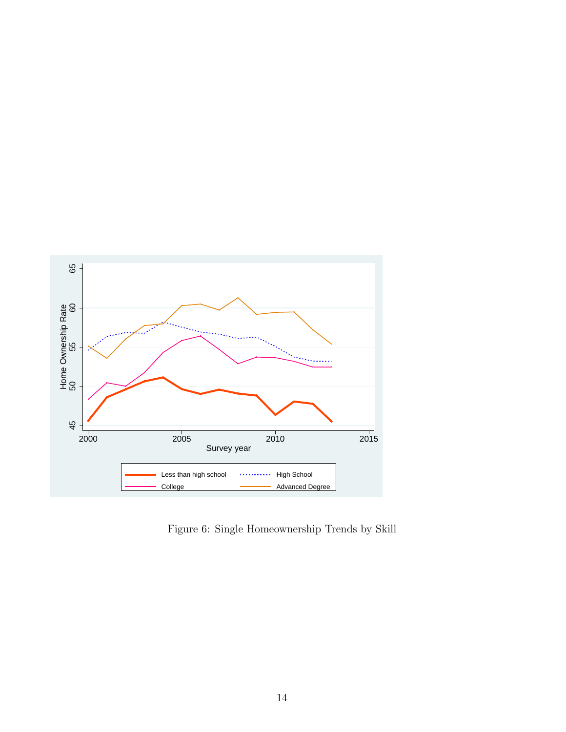

Figure 6: Single Homeownership Trends by Skill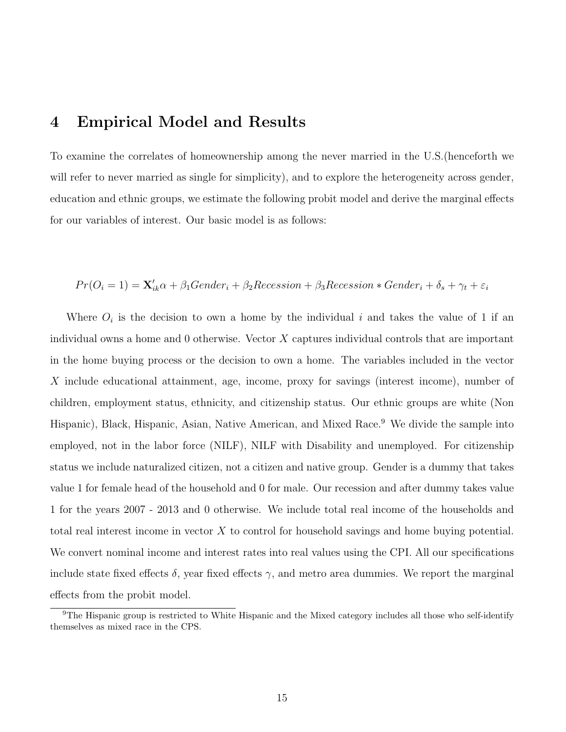## **4 Empirical Model and Results**

To examine the correlates of homeownership among the never married in the U.S.(henceforth we will refer to never married as single for simplicity), and to explore the heterogeneity across gender, education and ethnic groups, we estimate the following probit model and derive the marginal effects for our variables of interest. Our basic model is as follows:

#### $Pr(O_i = 1) = \mathbf{X}_{ik}'\alpha + \beta_1Gender_i + \beta_2Recession + \beta_3Recession * Gender_i + \delta_s + \gamma_t + \varepsilon_i$

Where  $O_i$  is the decision to own a home by the individual  $i$  and takes the value of 1 if an individual owns a home and 0 otherwise. Vector *X* captures individual controls that are important in the home buying process or the decision to own a home. The variables included in the vector *X* include educational attainment, age, income, proxy for savings (interest income), number of children, employment status, ethnicity, and citizenship status. Our ethnic groups are white (Non Hispanic), Black, Hispanic, Asian, Native American, and Mixed Race.<sup>9</sup> We divide the sample into employed, not in the labor force (NILF), NILF with Disability and unemployed. For citizenship status we include naturalized citizen, not a citizen and native group. Gender is a dummy that takes value 1 for female head of the household and 0 for male. Our recession and after dummy takes value 1 for the years 2007 - 2013 and 0 otherwise. We include total real income of the households and total real interest income in vector *X* to control for household savings and home buying potential. We convert nominal income and interest rates into real values using the CPI. All our specifications include state fixed effects  $\delta$ , year fixed effects  $\gamma$ , and metro area dummies. We report the marginal effects from the probit model.

<sup>&</sup>lt;sup>9</sup>The Hispanic group is restricted to White Hispanic and the Mixed category includes all those who self-identify themselves as mixed race in the CPS.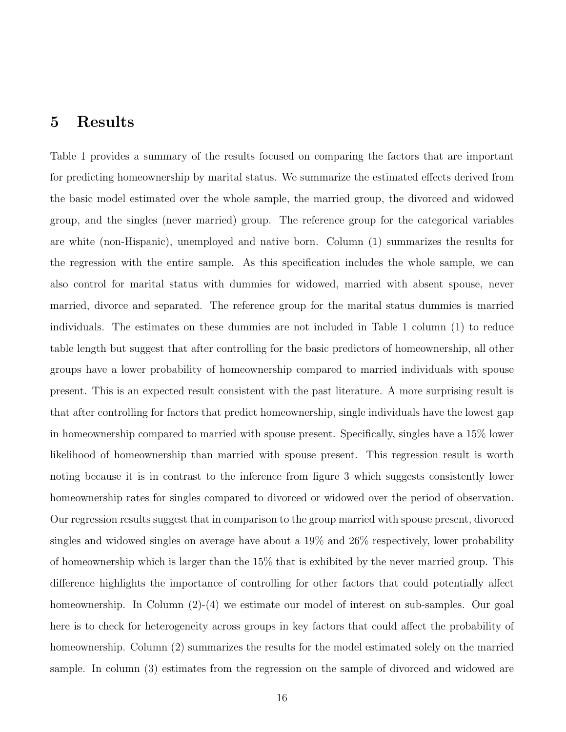#### **5 Results**

Table 1 provides a summary of the results focused on comparing the factors that are important for predicting homeownership by marital status. We summarize the estimated effects derived from the basic model estimated over the whole sample, the married group, the divorced and widowed group, and the singles (never married) group. The reference group for the categorical variables are white (non-Hispanic), unemployed and native born. Column (1) summarizes the results for the regression with the entire sample. As this specification includes the whole sample, we can also control for marital status with dummies for widowed, married with absent spouse, never married, divorce and separated. The reference group for the marital status dummies is married individuals. The estimates on these dummies are not included in Table 1 column (1) to reduce table length but suggest that after controlling for the basic predictors of homeownership, all other groups have a lower probability of homeownership compared to married individuals with spouse present. This is an expected result consistent with the past literature. A more surprising result is that after controlling for factors that predict homeownership, single individuals have the lowest gap in homeownership compared to married with spouse present. Specifically, singles have a 15% lower likelihood of homeownership than married with spouse present. This regression result is worth noting because it is in contrast to the inference from figure 3 which suggests consistently lower homeownership rates for singles compared to divorced or widowed over the period of observation. Our regression results suggest that in comparison to the group married with spouse present, divorced singles and widowed singles on average have about a 19% and 26% respectively, lower probability of homeownership which is larger than the 15% that is exhibited by the never married group. This difference highlights the importance of controlling for other factors that could potentially affect homeownership. In Column  $(2)-(4)$  we estimate our model of interest on sub-samples. Our goal here is to check for heterogeneity across groups in key factors that could affect the probability of homeownership. Column (2) summarizes the results for the model estimated solely on the married sample. In column (3) estimates from the regression on the sample of divorced and widowed are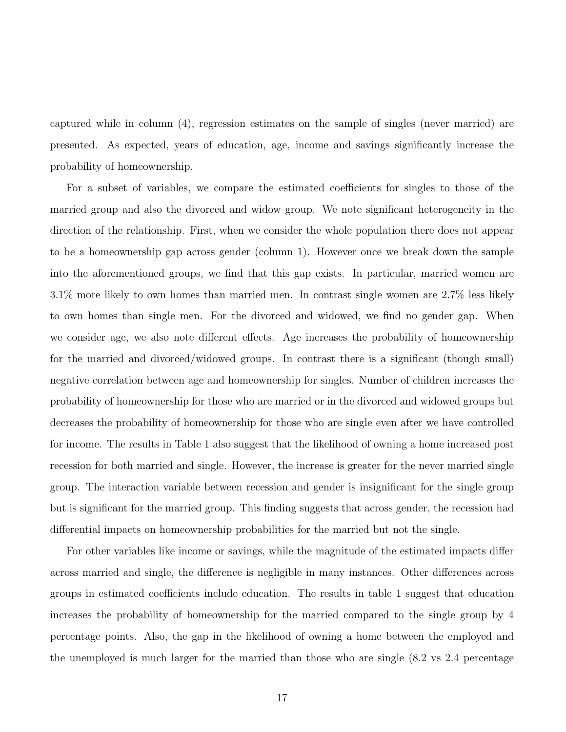captured while in column (4), regression estimates on the sample of singles (never married) are presented. As expected, years of education, age, income and savings significantly increase the probability of homeownership.

For a subset of variables, we compare the estimated coefficients for singles to those of the married group and also the divorced and widow group. We note significant heterogeneity in the direction of the relationship. First, when we consider the whole population there does not appear to be a homeownership gap across gender (column 1). However once we break down the sample into the aforementioned groups, we find that this gap exists. In particular, married women are 3.1% more likely to own homes than married men. In contrast single women are 2.7% less likely to own homes than single men. For the divorced and widowed, we find no gender gap. When we consider age, we also note different effects. Age increases the probability of homeownership for the married and divorced/widowed groups. In contrast there is a significant (though small) negative correlation between age and homeownership for singles. Number of children increases the probability of homeownership for those who are married or in the divorced and widowed groups but decreases the probability of homeownership for those who are single even after we have controlled for income. The results in Table 1 also suggest that the likelihood of owning a home increased post recession for both married and single. However, the increase is greater for the never married single group. The interaction variable between recession and gender is insignificant for the single group but is significant for the married group. This finding suggests that across gender, the recession had differential impacts on homeownership probabilities for the married but not the single.

For other variables like income or savings, while the magnitude of the estimated impacts differ across married and single, the difference is negligible in many instances. Other differences across groups in estimated coefficients include education. The results in table 1 suggest that education increases the probability of homeownership for the married compared to the single group by 4 percentage points. Also, the gap in the likelihood of owning a home between the employed and the unemployed is much larger for the married than those who are single (8.2 vs 2.4 percentage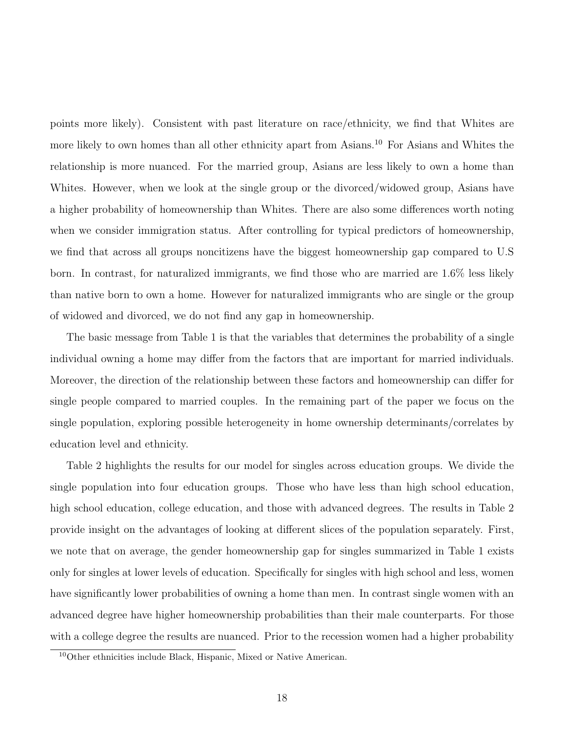points more likely). Consistent with past literature on race/ethnicity, we find that Whites are more likely to own homes than all other ethnicity apart from Asians.<sup>10</sup> For Asians and Whites the relationship is more nuanced. For the married group, Asians are less likely to own a home than Whites. However, when we look at the single group or the divorced/widowed group, Asians have a higher probability of homeownership than Whites. There are also some differences worth noting when we consider immigration status. After controlling for typical predictors of homeownership, we find that across all groups noncitizens have the biggest homeownership gap compared to U.S born. In contrast, for naturalized immigrants, we find those who are married are 1.6% less likely than native born to own a home. However for naturalized immigrants who are single or the group of widowed and divorced, we do not find any gap in homeownership.

The basic message from Table 1 is that the variables that determines the probability of a single individual owning a home may differ from the factors that are important for married individuals. Moreover, the direction of the relationship between these factors and homeownership can differ for single people compared to married couples. In the remaining part of the paper we focus on the single population, exploring possible heterogeneity in home ownership determinants/correlates by education level and ethnicity.

Table 2 highlights the results for our model for singles across education groups. We divide the single population into four education groups. Those who have less than high school education, high school education, college education, and those with advanced degrees. The results in Table 2 provide insight on the advantages of looking at different slices of the population separately. First, we note that on average, the gender homeownership gap for singles summarized in Table 1 exists only for singles at lower levels of education. Specifically for singles with high school and less, women have significantly lower probabilities of owning a home than men. In contrast single women with an advanced degree have higher homeownership probabilities than their male counterparts. For those with a college degree the results are nuanced. Prior to the recession women had a higher probability

<sup>10</sup>Other ethnicities include Black, Hispanic, Mixed or Native American.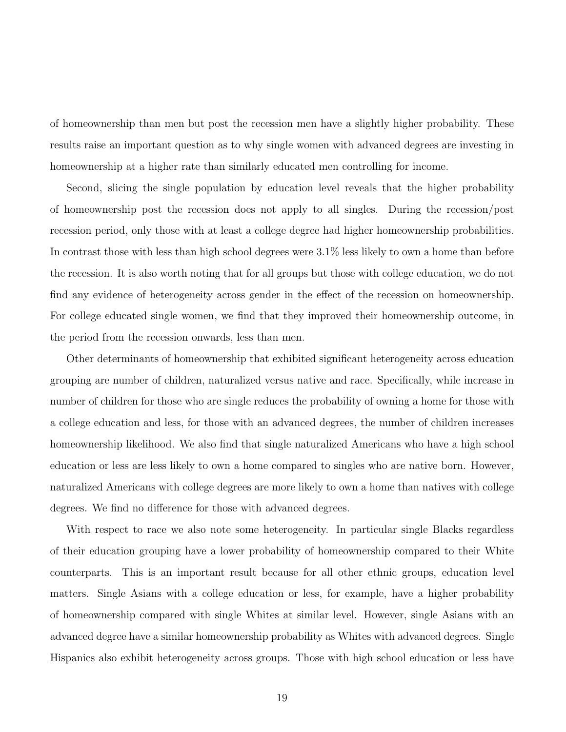of homeownership than men but post the recession men have a slightly higher probability. These results raise an important question as to why single women with advanced degrees are investing in homeownership at a higher rate than similarly educated men controlling for income.

Second, slicing the single population by education level reveals that the higher probability of homeownership post the recession does not apply to all singles. During the recession/post recession period, only those with at least a college degree had higher homeownership probabilities. In contrast those with less than high school degrees were 3.1% less likely to own a home than before the recession. It is also worth noting that for all groups but those with college education, we do not find any evidence of heterogeneity across gender in the effect of the recession on homeownership. For college educated single women, we find that they improved their homeownership outcome, in the period from the recession onwards, less than men.

Other determinants of homeownership that exhibited significant heterogeneity across education grouping are number of children, naturalized versus native and race. Specifically, while increase in number of children for those who are single reduces the probability of owning a home for those with a college education and less, for those with an advanced degrees, the number of children increases homeownership likelihood. We also find that single naturalized Americans who have a high school education or less are less likely to own a home compared to singles who are native born. However, naturalized Americans with college degrees are more likely to own a home than natives with college degrees. We find no difference for those with advanced degrees.

With respect to race we also note some heterogeneity. In particular single Blacks regardless of their education grouping have a lower probability of homeownership compared to their White counterparts. This is an important result because for all other ethnic groups, education level matters. Single Asians with a college education or less, for example, have a higher probability of homeownership compared with single Whites at similar level. However, single Asians with an advanced degree have a similar homeownership probability as Whites with advanced degrees. Single Hispanics also exhibit heterogeneity across groups. Those with high school education or less have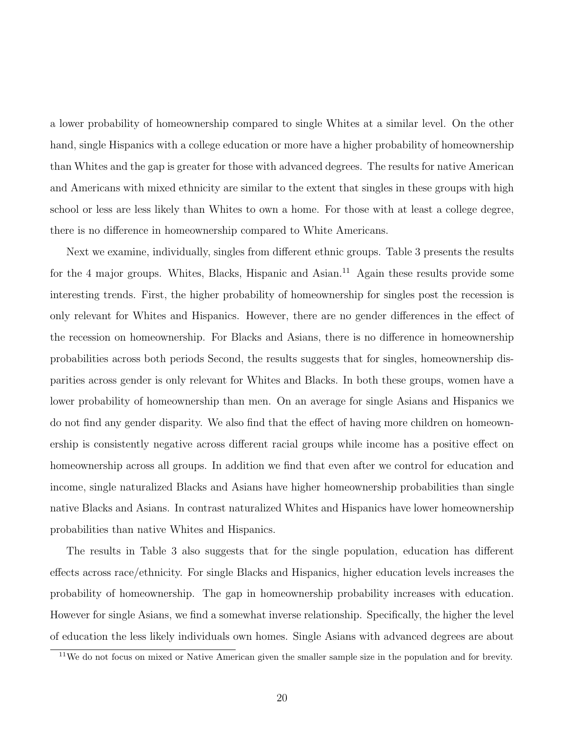a lower probability of homeownership compared to single Whites at a similar level. On the other hand, single Hispanics with a college education or more have a higher probability of homeownership than Whites and the gap is greater for those with advanced degrees. The results for native American and Americans with mixed ethnicity are similar to the extent that singles in these groups with high school or less are less likely than Whites to own a home. For those with at least a college degree, there is no difference in homeownership compared to White Americans.

Next we examine, individually, singles from different ethnic groups. Table 3 presents the results for the 4 major groups. Whites, Blacks, Hispanic and Asian.<sup>11</sup> Again these results provide some interesting trends. First, the higher probability of homeownership for singles post the recession is only relevant for Whites and Hispanics. However, there are no gender differences in the effect of the recession on homeownership. For Blacks and Asians, there is no difference in homeownership probabilities across both periods Second, the results suggests that for singles, homeownership disparities across gender is only relevant for Whites and Blacks. In both these groups, women have a lower probability of homeownership than men. On an average for single Asians and Hispanics we do not find any gender disparity. We also find that the effect of having more children on homeownership is consistently negative across different racial groups while income has a positive effect on homeownership across all groups. In addition we find that even after we control for education and income, single naturalized Blacks and Asians have higher homeownership probabilities than single native Blacks and Asians. In contrast naturalized Whites and Hispanics have lower homeownership probabilities than native Whites and Hispanics.

The results in Table 3 also suggests that for the single population, education has different effects across race/ethnicity. For single Blacks and Hispanics, higher education levels increases the probability of homeownership. The gap in homeownership probability increases with education. However for single Asians, we find a somewhat inverse relationship. Specifically, the higher the level of education the less likely individuals own homes. Single Asians with advanced degrees are about

<sup>11</sup>We do not focus on mixed or Native American given the smaller sample size in the population and for brevity.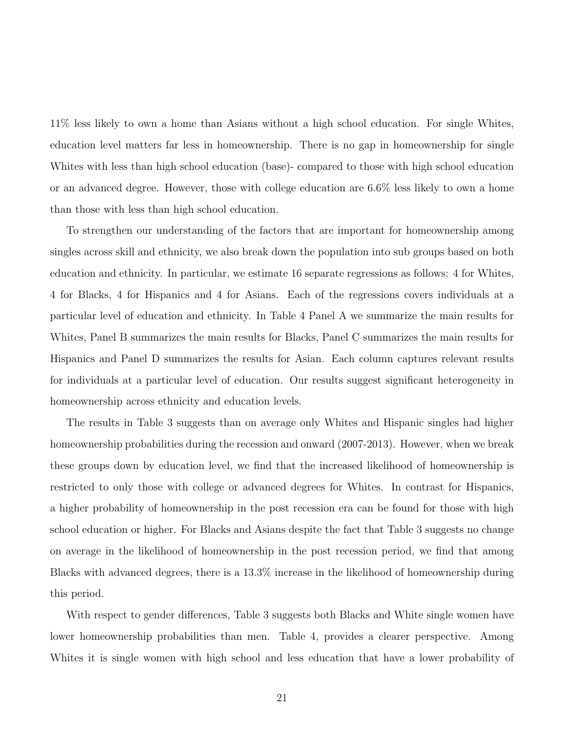11% less likely to own a home than Asians without a high school education. For single Whites, education level matters far less in homeownership. There is no gap in homeownership for single Whites with less than high school education (base)- compared to those with high school education or an advanced degree. However, those with college education are 6.6% less likely to own a home than those with less than high school education.

To strengthen our understanding of the factors that are important for homeownership among singles across skill and ethnicity, we also break down the population into sub groups based on both education and ethnicity. In particular, we estimate 16 separate regressions as follows: 4 for Whites, 4 for Blacks, 4 for Hispanics and 4 for Asians. Each of the regressions covers individuals at a particular level of education and ethnicity. In Table 4 Panel A we summarize the main results for Whites, Panel B summarizes the main results for Blacks, Panel C summarizes the main results for Hispanics and Panel D summarizes the results for Asian. Each column captures relevant results for individuals at a particular level of education. Our results suggest significant heterogeneity in homeownership across ethnicity and education levels.

The results in Table 3 suggests than on average only Whites and Hispanic singles had higher homeownership probabilities during the recession and onward (2007-2013). However, when we break these groups down by education level, we find that the increased likelihood of homeownership is restricted to only those with college or advanced degrees for Whites. In contrast for Hispanics, a higher probability of homeownership in the post recession era can be found for those with high school education or higher. For Blacks and Asians despite the fact that Table 3 suggests no change on average in the likelihood of homeownership in the post recession period, we find that among Blacks with advanced degrees, there is a 13.3% increase in the likelihood of homeownership during this period.

With respect to gender differences, Table 3 suggests both Blacks and White single women have lower homeownership probabilities than men. Table 4, provides a clearer perspective. Among Whites it is single women with high school and less education that have a lower probability of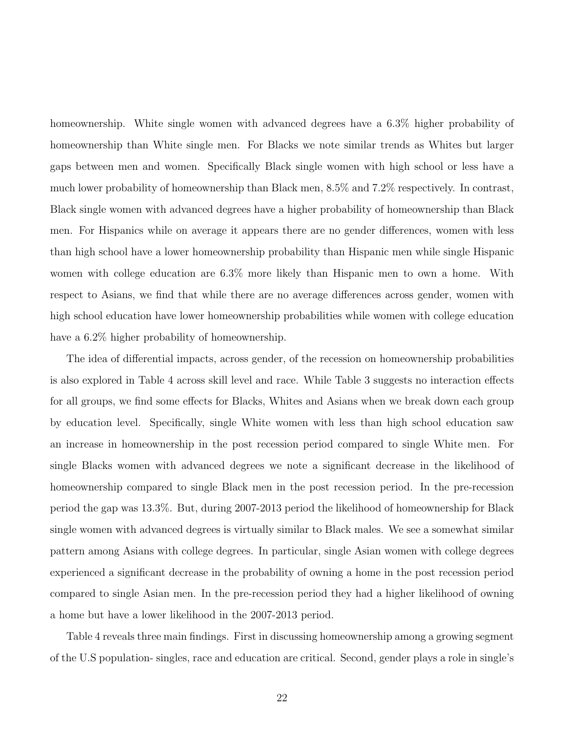homeownership. White single women with advanced degrees have a 6.3% higher probability of homeownership than White single men. For Blacks we note similar trends as Whites but larger gaps between men and women. Specifically Black single women with high school or less have a much lower probability of homeownership than Black men, 8.5% and 7.2% respectively. In contrast, Black single women with advanced degrees have a higher probability of homeownership than Black men. For Hispanics while on average it appears there are no gender differences, women with less than high school have a lower homeownership probability than Hispanic men while single Hispanic women with college education are 6.3% more likely than Hispanic men to own a home. With respect to Asians, we find that while there are no average differences across gender, women with high school education have lower homeownership probabilities while women with college education have a  $6.2\%$  higher probability of homeownership.

The idea of differential impacts, across gender, of the recession on homeownership probabilities is also explored in Table 4 across skill level and race. While Table 3 suggests no interaction effects for all groups, we find some effects for Blacks, Whites and Asians when we break down each group by education level. Specifically, single White women with less than high school education saw an increase in homeownership in the post recession period compared to single White men. For single Blacks women with advanced degrees we note a significant decrease in the likelihood of homeownership compared to single Black men in the post recession period. In the pre-recession period the gap was 13.3%. But, during 2007-2013 period the likelihood of homeownership for Black single women with advanced degrees is virtually similar to Black males. We see a somewhat similar pattern among Asians with college degrees. In particular, single Asian women with college degrees experienced a significant decrease in the probability of owning a home in the post recession period compared to single Asian men. In the pre-recession period they had a higher likelihood of owning a home but have a lower likelihood in the 2007-2013 period.

Table 4 reveals three main findings. First in discussing homeownership among a growing segment of the U.S population- singles, race and education are critical. Second, gender plays a role in single's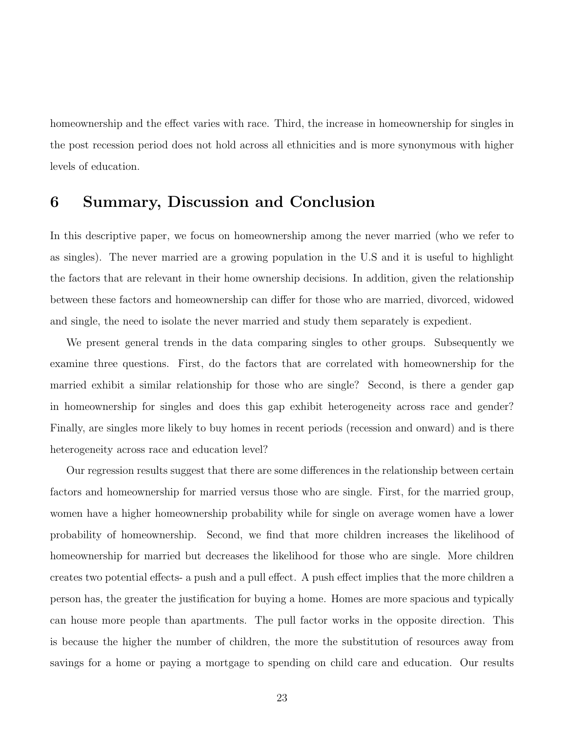homeownership and the effect varies with race. Third, the increase in homeownership for singles in the post recession period does not hold across all ethnicities and is more synonymous with higher levels of education.

#### **6 Summary, Discussion and Conclusion**

In this descriptive paper, we focus on homeownership among the never married (who we refer to as singles). The never married are a growing population in the U.S and it is useful to highlight the factors that are relevant in their home ownership decisions. In addition, given the relationship between these factors and homeownership can differ for those who are married, divorced, widowed and single, the need to isolate the never married and study them separately is expedient.

We present general trends in the data comparing singles to other groups. Subsequently we examine three questions. First, do the factors that are correlated with homeownership for the married exhibit a similar relationship for those who are single? Second, is there a gender gap in homeownership for singles and does this gap exhibit heterogeneity across race and gender? Finally, are singles more likely to buy homes in recent periods (recession and onward) and is there heterogeneity across race and education level?

Our regression results suggest that there are some differences in the relationship between certain factors and homeownership for married versus those who are single. First, for the married group, women have a higher homeownership probability while for single on average women have a lower probability of homeownership. Second, we find that more children increases the likelihood of homeownership for married but decreases the likelihood for those who are single. More children creates two potential effects- a push and a pull effect. A push effect implies that the more children a person has, the greater the justification for buying a home. Homes are more spacious and typically can house more people than apartments. The pull factor works in the opposite direction. This is because the higher the number of children, the more the substitution of resources away from savings for a home or paying a mortgage to spending on child care and education. Our results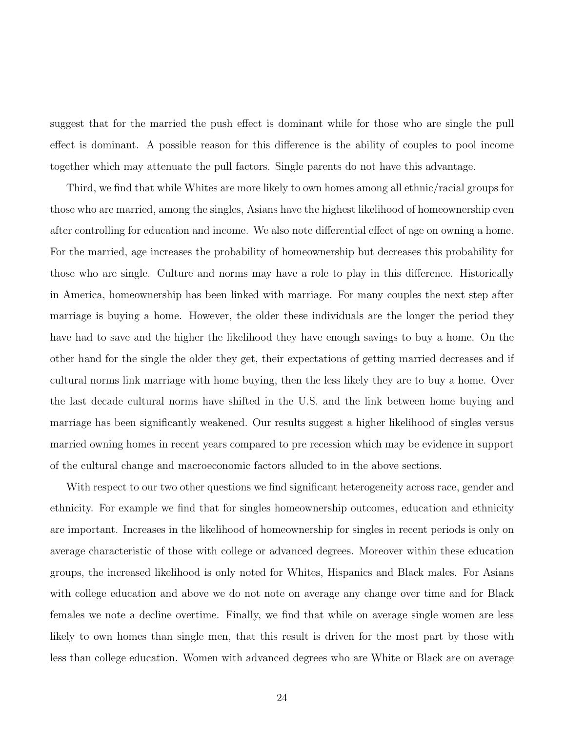suggest that for the married the push effect is dominant while for those who are single the pull effect is dominant. A possible reason for this difference is the ability of couples to pool income together which may attenuate the pull factors. Single parents do not have this advantage.

Third, we find that while Whites are more likely to own homes among all ethnic/racial groups for those who are married, among the singles, Asians have the highest likelihood of homeownership even after controlling for education and income. We also note differential effect of age on owning a home. For the married, age increases the probability of homeownership but decreases this probability for those who are single. Culture and norms may have a role to play in this difference. Historically in America, homeownership has been linked with marriage. For many couples the next step after marriage is buying a home. However, the older these individuals are the longer the period they have had to save and the higher the likelihood they have enough savings to buy a home. On the other hand for the single the older they get, their expectations of getting married decreases and if cultural norms link marriage with home buying, then the less likely they are to buy a home. Over the last decade cultural norms have shifted in the U.S. and the link between home buying and marriage has been significantly weakened. Our results suggest a higher likelihood of singles versus married owning homes in recent years compared to pre recession which may be evidence in support of the cultural change and macroeconomic factors alluded to in the above sections.

With respect to our two other questions we find significant heterogeneity across race, gender and ethnicity. For example we find that for singles homeownership outcomes, education and ethnicity are important. Increases in the likelihood of homeownership for singles in recent periods is only on average characteristic of those with college or advanced degrees. Moreover within these education groups, the increased likelihood is only noted for Whites, Hispanics and Black males. For Asians with college education and above we do not note on average any change over time and for Black females we note a decline overtime. Finally, we find that while on average single women are less likely to own homes than single men, that this result is driven for the most part by those with less than college education. Women with advanced degrees who are White or Black are on average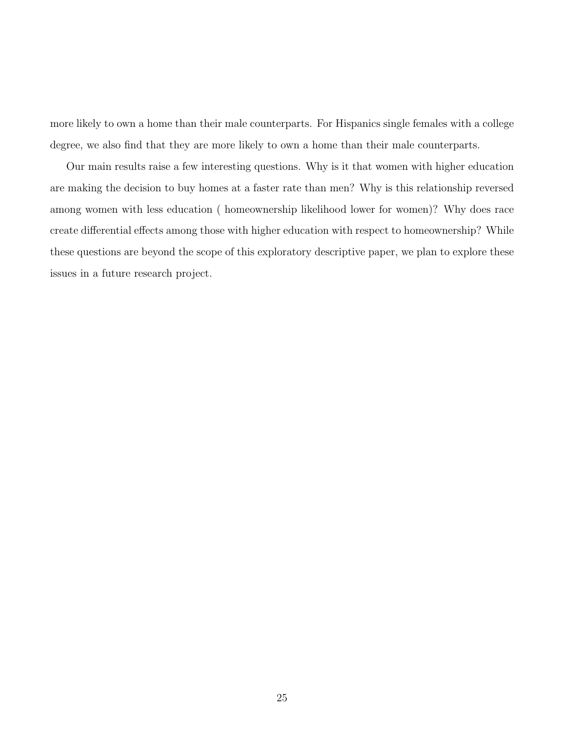more likely to own a home than their male counterparts. For Hispanics single females with a college degree, we also find that they are more likely to own a home than their male counterparts.

Our main results raise a few interesting questions. Why is it that women with higher education are making the decision to buy homes at a faster rate than men? Why is this relationship reversed among women with less education ( homeownership likelihood lower for women)? Why does race create differential effects among those with higher education with respect to homeownership? While these questions are beyond the scope of this exploratory descriptive paper, we plan to explore these issues in a future research project.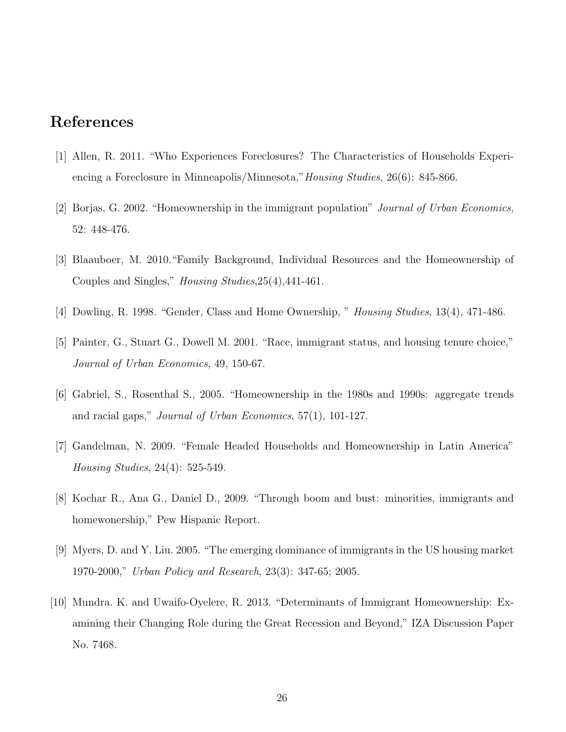# **References**

- [1] Allen, R. 2011. "Who Experiences Foreclosures? The Characteristics of Households Experiencing a Foreclosure in Minneapolis/Minnesota,"*Housing Studies*, 26(6): 845-866.
- [2] Borjas, G. 2002. "Homeownership in the immigrant population" *Journal of Urban Economics*, 52: 448-476.
- [3] Blaauboer, M. 2010."Family Background, Individual Resources and the Homeownership of Couples and Singles," *Housing Studies*,25(4),441-461.
- [4] Dowling, R. 1998. "Gender, Class and Home Ownership, " *Housing Studies*, 13(4), 471-486.
- [5] Painter, G., Stuart G., Dowell M. 2001. "Race, immigrant status, and housing tenure choice," *Journal of Urban Economics*, 49, 150-67.
- [6] Gabriel, S., Rosenthal S., 2005. "Homeownership in the 1980s and 1990s: aggregate trends and racial gaps," *Journal of Urban Economics*, 57(1), 101-127.
- [7] Gandelman, N. 2009. "Female Headed Households and Homeownership in Latin America" *Housing Studies*, 24(4): 525-549.
- [8] Kochar R., Ana G., Daniel D., 2009. "Through boom and bust: minorities, immigrants and homewonership," Pew Hispanic Report.
- [9] Myers, D. and Y. Liu. 2005. "The emerging dominance of immigrants in the US housing market 1970-2000," *Urban Policy and Research*, 23(3): 347-65; 2005.
- [10] Mundra. K. and Uwaifo-Oyelere, R. 2013. "Determinants of Immigrant Homeownership: Examining their Changing Role during the Great Recession and Beyond," IZA Discussion Paper No. 7468.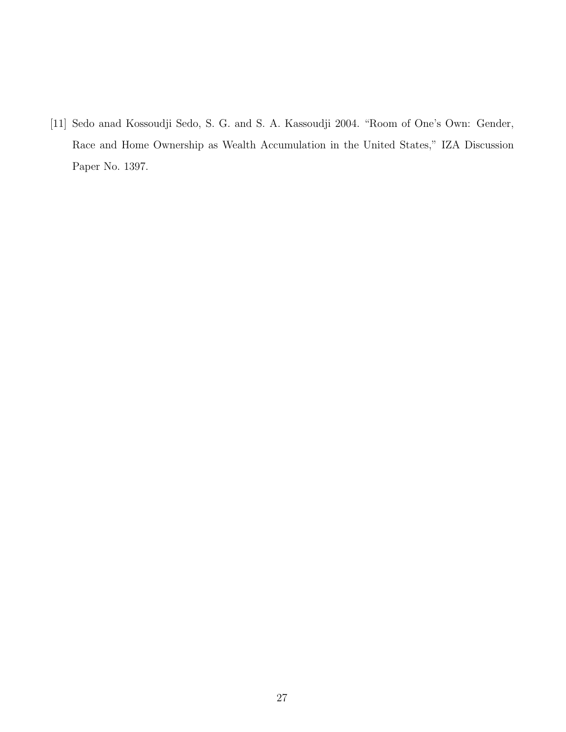[11] Sedo anad Kossoudji Sedo, S. G. and S. A. Kassoudji 2004. "Room of One's Own: Gender, Race and Home Ownership as Wealth Accumulation in the United States," IZA Discussion Paper No. 1397.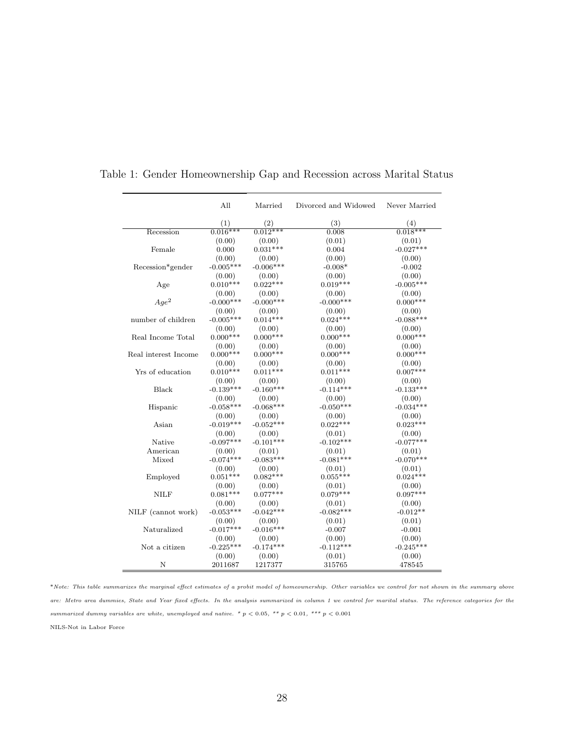|                      | All         | Married     | Divorced and Widowed | Never Married |
|----------------------|-------------|-------------|----------------------|---------------|
|                      | (1)         | (2)         | (3)                  | (4)           |
| Recession            | $0.016***$  | $0.012***$  | 0.008                | $0.018***$    |
|                      | (0.00)      | (0.00)      | (0.01)               | (0.01)        |
| Female               | 0.000       | $0.031***$  | 0.004                | $-0.027***$   |
|                      | (0.00)      | (0.00)      | (0.00)               | (0.00)        |
| Recession*gender     | $-0.005***$ | $-0.006***$ | $-0.008*$            | $-0.002$      |
|                      | (0.00)      | (0.00)      | (0.00)               | (0.00)        |
| Age                  | $0.010***$  | $0.022***$  | $0.019***$           | $-0.005***$   |
|                      | (0.00)      | (0.00)      | (0.00)               | (0.00)        |
| $Age^2$              | $-0.000***$ | $-0.000***$ | $-0.000***$          | $0.000***$    |
|                      | (0.00)      | (0.00)      | (0.00)               | (0.00)        |
| number of children   | $-0.005***$ | $0.014***$  | $0.024***$           | $-0.088***$   |
|                      | (0.00)      | (0.00)      | (0.00)               | (0.00)        |
| Real Income Total    | $0.000***$  | $0.000***$  | $0.000***$           | $0.000***$    |
|                      | (0.00)      | (0.00)      | (0.00)               | (0.00)        |
| Real interest Income | $0.000***$  | $0.000***$  | $0.000***$           | $0.000***$    |
|                      | (0.00)      | (0.00)      | (0.00)               | (0.00)        |
| Yrs of education     | $0.010***$  | $0.011***$  | $0.011***$           | $0.007***$    |
|                      | (0.00)      | (0.00)      | (0.00)               | (0.00)        |
| <b>Black</b>         | $-0.139***$ | $-0.160***$ | $-0.114***$          | $-0.133***$   |
|                      | (0.00)      | (0.00)      | (0.00)               | (0.00)        |
| Hispanic             | $-0.058***$ | $-0.068***$ | $-0.050***$          | $-0.034***$   |
|                      | (0.00)      | (0.00)      | (0.00)               | (0.00)        |
| Asian                | $-0.019***$ | $-0.052***$ | $0.022***$           | $0.023***$    |
|                      | (0.00)      | (0.00)      | (0.01)               | (0.00)        |
| Native               | $-0.097***$ | $-0.101***$ | $-0.102***$          | $-0.077***$   |
| American             | (0.00)      | (0.01)      | (0.01)               | (0.01)        |
| Mixed                | $-0.074***$ | $-0.083***$ | $-0.081***$          | $-0.070***$   |
|                      | (0.00)      | (0.00)      | (0.01)               | (0.01)        |
| Employed             | $0.051***$  | $0.082***$  | $0.055***$           | $0.024***$    |
|                      | (0.00)      | (0.00)      | (0.01)               | (0.00)        |
| NILF                 | $0.081***$  | $0.077***$  | $0.079***$           | $0.097***$    |
|                      | (0.00)      | (0.00)      | (0.01)               | (0.00)        |
| NILF (cannot work)   | $-0.053***$ | $-0.042***$ | $-0.082***$          | $-0.012**$    |
|                      | (0.00)      | (0.00)      | (0.01)               | (0.01)        |
| Naturalized          | $-0.017***$ | $-0.016***$ | $-0.007$             | $-0.001$      |
|                      | (0.00)      | (0.00)      | (0.00)               | (0.00)        |
| Not a citizen        | $-0.225***$ | $-0.174***$ | $-0.112***$          | $-0.245***$   |
|                      | (0.00)      | (0.00)      | (0.01)               | (0.00)        |
| N                    | 2011687     | 1217377     | 315765               | 478545        |

Table 1: Gender Homeownership Gap and Recession across Marital Status

\**Note: This table summarizes the marginal effect estimates of a probit model of homeownership. Other variables we control for not shown in the summary above are: Metro area dummies, State and Year fixed effects. In the analysis summarized in column 1 we control for marital status. The reference categories for the summarized dummy variables are white, unemployed and native. \* p <* 0*.*05*, \*\* p <* 0*.*01*, \*\*\* p <* 0*.*001

NILS-Not in Labor Force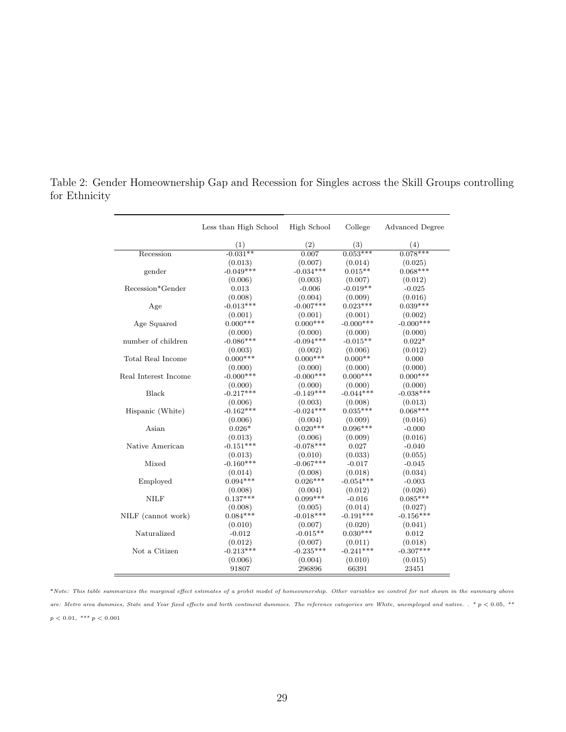|                      | Less than High School | High School | College     | <b>Advanced Degree</b> |
|----------------------|-----------------------|-------------|-------------|------------------------|
|                      | (1)                   | (2)         | (3)         | (4)                    |
| Recession            | $-0.031**$            | 0.007       | $0.053***$  | $0.078***$             |
|                      | (0.013)               | (0.007)     | (0.014)     | (0.025)                |
| gender               | $-0.049***$           | $-0.034***$ | $0.015**$   | $0.068***$             |
|                      | (0.006)               | (0.003)     | (0.007)     | (0.012)                |
| Recession*Gender     | 0.013                 | $-0.006$    | $-0.019**$  | $-0.025$               |
|                      | (0.008)               | (0.004)     | (0.009)     | (0.016)                |
| Age                  | $-0.013***$           | $-0.007***$ | $0.023***$  | $0.039***$             |
|                      | (0.001)               | (0.001)     | (0.001)     | (0.002)                |
| Age Squared          | $0.000***$            | $0.000***$  | $-0.000***$ | $-0.000***$            |
|                      | (0.000)               | (0.000)     | (0.000)     | (0.000)                |
| number of children   | $-0.086***$           | $-0.094***$ | $-0.015**$  | $0.022*$               |
|                      | (0.003)               | (0.002)     | (0.006)     | (0.012)                |
| Total Real Income    | $0.000***$            | $0.000***$  | $0.000**$   | 0.000                  |
|                      | (0.000)               | (0.000)     | (0.000)     | (0.000)                |
| Real Interest Income | $-0.000***$           | $-0.000***$ | $0.000***$  | $0.000***$             |
|                      | (0.000)               | (0.000)     | (0.000)     | (0.000)                |
| Black                | $-0.217***$           | $-0.149***$ | $-0.044***$ | $-0.038***$            |
|                      | (0.006)               | (0.003)     | (0.008)     | (0.013)                |
| Hispanic (White)     | $-0.162***$           | $-0.024***$ | $0.035***$  | $0.068***$             |
|                      | (0.006)               | (0.004)     | (0.009)     | (0.016)                |
| Asian                | $0.026*$              | $0.020***$  | $0.096***$  | $-0.000$               |
|                      | (0.013)               | (0.006)     | (0.009)     | (0.016)                |
| Native American      | $-0.151***$           | $-0.078***$ | 0.027       | $-0.040$               |
|                      | (0.013)               | (0.010)     | (0.033)     | (0.055)                |
| Mixed                | $-0.160***$           | $-0.067***$ | $-0.017$    | $-0.045$               |
|                      | (0.014)               | (0.008)     | (0.018)     | (0.034)                |
| Employed             | $0.094***$            | $0.026***$  | $-0.054***$ | $-0.003$               |
|                      | (0.008)               | (0.004)     | (0.012)     | (0.026)                |
| <b>NILF</b>          | $0.137***$            | $0.099***$  | $-0.016$    | $0.085***$             |
|                      | (0.008)               | (0.005)     | (0.014)     | (0.027)                |
| NILF (cannot work)   | $0.084***$            | $-0.018***$ | $-0.191***$ | $-0.156***$            |
|                      | (0.010)               | (0.007)     | (0.020)     | (0.041)                |
| Naturalized          | $-0.012$              | $-0.015**$  | $0.030***$  | 0.012                  |
|                      | (0.012)               | (0.007)     | (0.011)     | (0.018)                |
| Not a Citizen        | $-0.213***$           | $-0.235***$ | $-0.241***$ | $-0.307***$            |
|                      | (0.006)               | (0.004)     | (0.010)     | (0.015)                |
|                      | 91807                 | 296896      | 66391       | 23451                  |

Table 2: Gender Homeownership Gap and Recession for Singles across the Skill Groups controlling for Ethnicity

<sup>\*</sup>*Note: This table summarizes the marginal effect estimates of a probit model of homeownership. Other variables we control for not shown in the summary above are: Metro area dummies, State and Year fixed effects and birth continent dummies. The reference categories are White, unemployed and native. . \* p <* 0*.*05*, \*\**  $p < 0.01, \sqrt{*^{**} p} < 0.001$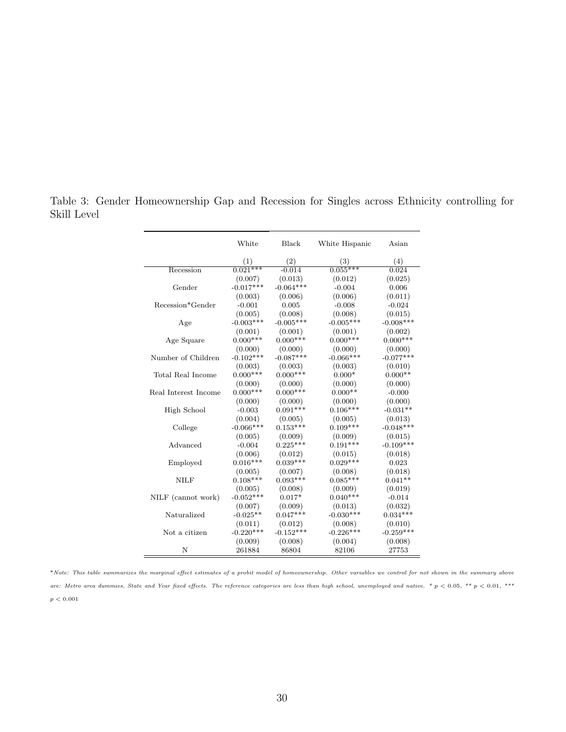|                      | White       | Black       | White Hispanic | Asian       |
|----------------------|-------------|-------------|----------------|-------------|
|                      | (1)         | $^{(2)}$    | (3)            | (4)         |
| Recession            | $0.021***$  | $-0.014$    | $0.055***$     | 0.024       |
|                      | (0.007)     | (0.013)     | (0.012)        | (0.025)     |
| Gender               | $-0.017***$ | $-0.064***$ | $-0.004$       | 0.006       |
|                      | (0.003)     | (0.006)     | (0.006)        | (0.011)     |
| Recession*Gender     | $-0.001$    | 0.005       | $-0.008$       | $-0.024$    |
|                      | (0.005)     | (0.008)     | (0.008)        | (0.015)     |
| Age                  | $-0.003***$ | $-0.005***$ | $-0.005***$    | $-0.008***$ |
|                      | (0.001)     | (0.001)     | (0.001)        | (0.002)     |
| Age Square           | $0.000***$  | $0.000***$  | $0.000***$     | $0.000***$  |
|                      | (0.000)     | (0.000)     | (0.000)        | (0.000)     |
| Number of Children   | $-0.102***$ | $-0.087***$ | $-0.066***$    | $-0.077***$ |
|                      | (0.003)     | (0.003)     | (0.003)        | (0.010)     |
| Total Real Income    | $0.000***$  | $0.000***$  | $0.000*$       | $0.000**$   |
|                      | (0.000)     | (0.000)     | (0.000)        | (0.000)     |
| Real Interest Income | $0.000***$  | $0.000***$  | $0.000**$      | $-0.000$    |
|                      | (0.000)     | (0.000)     | (0.000)        | (0.000)     |
| High School          | $-0.003$    | $0.091***$  | $0.106***$     | $-0.031**$  |
|                      | (0.004)     | (0.005)     | (0.005)        | (0.013)     |
| College              | $-0.066***$ | $0.153***$  | $0.109***$     | $-0.048***$ |
|                      | (0.005)     | (0.009)     | (0.009)        | (0.015)     |
| Advanced             | $-0.004$    | $0.225***$  | $0.191***$     | $-0.109***$ |
|                      | (0.006)     | (0.012)     | (0.015)        | (0.018)     |
| Employed             | $0.016***$  | $0.039***$  | $0.029***$     | 0.023       |
|                      | (0.005)     | (0.007)     | (0.008)        | (0.018)     |
| <b>NILF</b>          | $0.108***$  | $0.093***$  | $0.085***$     | $0.041**$   |
|                      | (0.005)     | (0.008)     | (0.009)        | (0.019)     |
| NILF (cannot work)   | $-0.052***$ | $0.017*$    | $0.040***$     | $-0.014$    |
|                      | (0.007)     | (0.009)     | (0.013)        | (0.032)     |
| Naturalized          | $-0.025**$  | $0.047***$  | $-0.030***$    | $0.034***$  |
|                      | (0.011)     | (0.012)     | (0.008)        | (0.010)     |
| Not a citizen        | $-0.220***$ | $-0.152***$ | $-0.226***$    | $-0.259***$ |
|                      | (0.009)     | (0.008)     | (0.004)        | (0.008)     |
| N                    | 261884      | 86804       | 82106          | 27753       |

Table 3: Gender Homeownership Gap and Recession for Singles across Ethnicity controlling for Skill Level

\**Note: This table summarizes the marginal effect estimates of a probit model of homeownership. Other variables we control for not shown in the summary above are: Metro area dummies, State and Year fixed effects. The reference categories are less than high school, unemployed and native. \* p <* 0*.*05*, \*\* p <* 0*.*01*, \*\*\**  $p < 0.001$